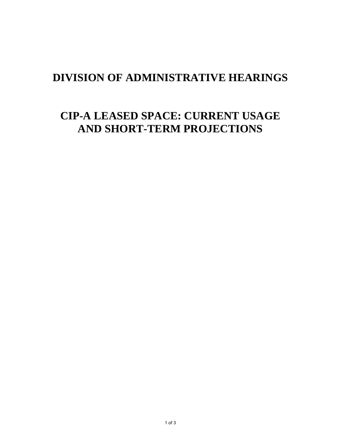## **DIVISION OF ADMINISTRATIVE HEARINGS**

# **CIP-A LEASED SPACE: CURRENT USAGE AND SHORT-TERM PROJECTIONS**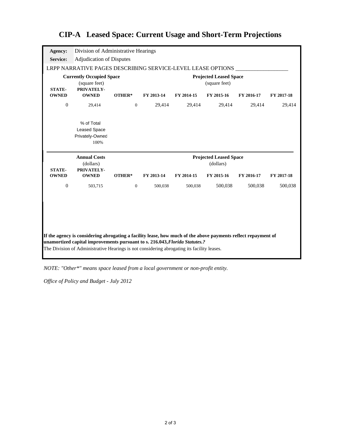#### Division of Administrative Hearings Adjudication of Disputes LRPP NARRATIVE PAGES DESCRIBING SERVICE-LEVEL LEASE OPTIONS **Currently Occupied Space Projected Leased Space**  (square feet) **STATE-OWNED OTHER\* FY 2013-14 FY 2014-15 FY 2015-16 FY 2016-17 FY 2017-18** 0 29,414 0 29,414 29,414 29,414 29,414 29,414 Privately-Owned 100% **Annual Costs Projected Leased Space** (dollars) **STATE-OWNED OTHER\* FY 2013-14 FY 2014-15 FY 2015-16 FY 2016-17 FY 2017-18** 0 503,715 0 500,038 500,038 500,038 500,038 500,038 **If the agency is considering abrogating a facility lease, how much of the above payments reflect repayment of unamortized capital improvements pursuant to s. 216.043,** *Florida Statutes.?* The Division of Administrative Hearings is not considering abrogating its facility leases. **OWNED** Leased Space **Agency: Service:** % of Total (square feet) **PRIVATELY-OWNED PRIVATELY-** (dollars)

### **CIP-A Leased Space: Current Usage and Short-Term Projections**

*NOTE: "Other\*" means space leased from a local government or non-profit entity.*

*Office of Policy and Budget - July 2012*